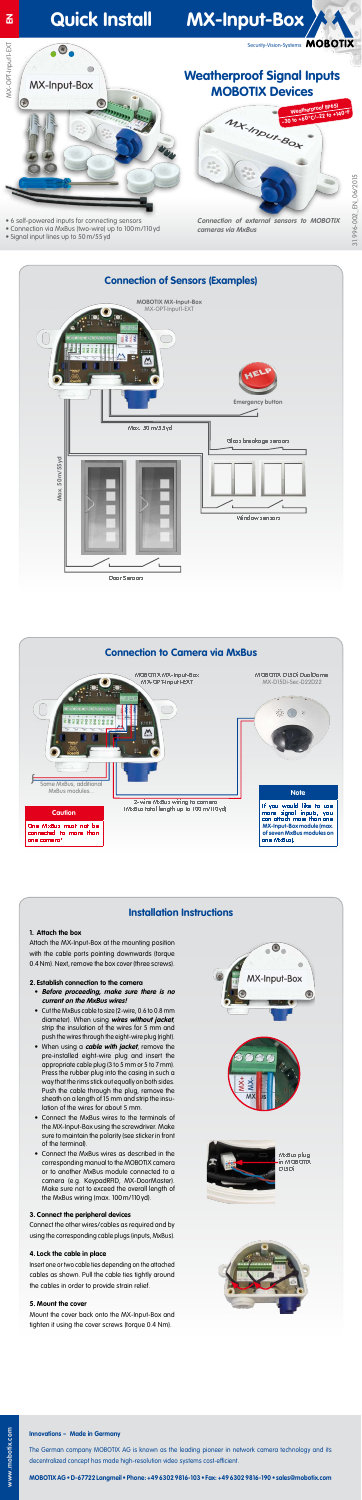#### **Innovations – Made in Germany**

The German company MOBOTIX AG is known as the leading pioneer in network camera technology and its decentralized concept has made high-resolution video systems cost-efficient.

**MOBOTIX AG • D-67722 Langmeil • Phone: +49 6302 9816-103 • Fax: +49 6302 9816-190 • sales@mobotix.com** 

# **Quick Install MX-Input-Box**

Security-Vision-Systems MOBOTIX

# WX-OPT-Input1-EXT MX-OPT-Input1-EXT  $\bigcirc$ **MX-Input-Box** E  $\circledast$  $\mathbf{p}_0$

# **Weatherproof Signal Inputs MOBOTIX Devices**

- 6 self-powered inputs for connecting sensors
- Connection via MxBus (two-wire) up to 100m/110yd
- Signal input lines up to 50m/55yd

 $\bigcirc$ .

**Connection of external sensors to MOBOTIX cameras via MxBus**



## **Installation Instructions**

### **1. Attach the box**

Attach the MX-Input-Box at the mounting position with the cable ports pointing downwards (torque 0.4 Nm). Next, remove the box cover (three screws).

### **2. Establish connection to the camera**

- **Before proceeding, make sure there is no current on the MxBus wires!**
- Cut the MxBus cable to size (2-wire, 0.6 to 0.8 mm diameter). When using **wires without jacket**, strip the insulation of the wires for 5 mm and push the wires through the eight-wire plug (right).
- When using a **cable with jacket**, remove the pre-installed eight-wire plug and insert the appropriate cable plug (3 to 5 mm or 5 to 7 mm). Press the rubber plug into the casing in such a way that the rims stick out equally on both sides. Push the cable through the plug, remove the sheath on a length of 15 mm and strip the insulation of the wires for about 5 mm.
- Connect the MxBus wires to the terminals of the MX-Input-Box using the screwdriver. Make sure to maintain the polarity (see sticker in front of the terminal).
- Connect the MxBus wires as described in the corresponding manual to the MOBOTIX camera or to another MxBus module connected to a camera (e.g. KeypadRFID, MX-DoorMaster). Make sure not to exceed the overall length of the MxBus wiring (max. 100m/110yd).

### **3. Connect the peripheral devices**

Connect the other wires/cables as required and by using the corresponding cable plugs (inputs, MxBus).

### **4. Lock the cable in place**

Insert one or two cable ties depending on the attached cables as shown. Pull the cable ties tightly around the cables in order to provide strain relief.

#### **5. Mount the cover**

Mount the cover back onto the MX-Input-Box and tighten it using the cover screws (torque 0.4 Nm).



 $\odot$ 



**MxBus plug in MOBOTIX D15Di**





**2-wire MxBus wiring to camera (MxBus total length up to 100m/110yd)**

MxBus modules...

### **Caution**

**One MxBus must not be connected to more than one camera!**

#### **Note**

**If you would like to use more signal inputs, you can attach more than one MX-Input-Box module (max. of seven MxBus modules on one MxBus).**